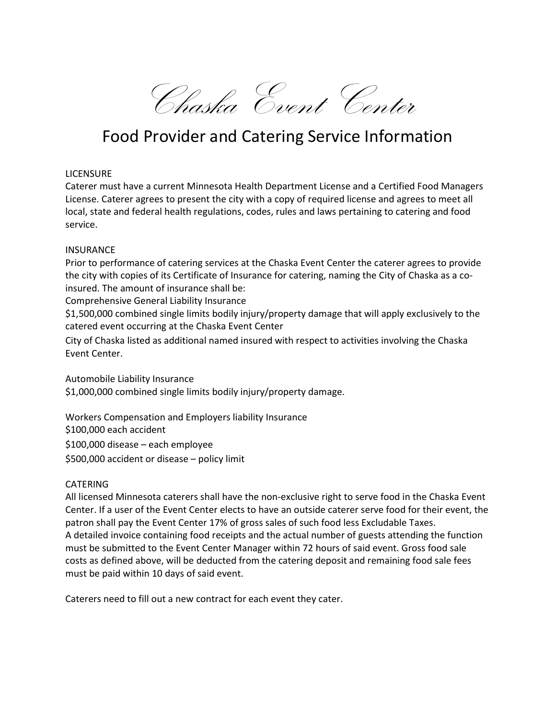Chaska Event Center

# Food Provider and Catering Service Information

#### **LICENSURE**

Caterer must have a current Minnesota Health Department License and a Certified Food Managers License. Caterer agrees to present the city with a copy of required license and agrees to meet all local, state and federal health regulations, codes, rules and laws pertaining to catering and food service.

### **INSURANCE**

Prior to performance of catering services at the Chaska Event Center the caterer agrees to provide the city with copies of its Certificate of Insurance for catering, naming the City of Chaska as a coinsured. The amount of insurance shall be:

Comprehensive General Liability Insurance

\$1,500,000 combined single limits bodily injury/property damage that will apply exclusively to the catered event occurring at the Chaska Event Center

City of Chaska listed as additional named insured with respect to activities involving the Chaska Event Center.

Automobile Liability Insurance

\$1,000,000 combined single limits bodily injury/property damage.

Workers Compensation and Employers liability Insurance \$100,000 each accident \$100,000 disease – each employee \$500,000 accident or disease – policy limit

## CATERING

All licensed Minnesota caterers shall have the non-exclusive right to serve food in the Chaska Event Center. If a user of the Event Center elects to have an outside caterer serve food for their event, the patron shall pay the Event Center 17% of gross sales of such food less Excludable Taxes. A detailed invoice containing food receipts and the actual number of guests attending the function must be submitted to the Event Center Manager within 72 hours of said event. Gross food sale costs as defined above, will be deducted from the catering deposit and remaining food sale fees must be paid within 10 days of said event.

Caterers need to fill out a new contract for each event they cater.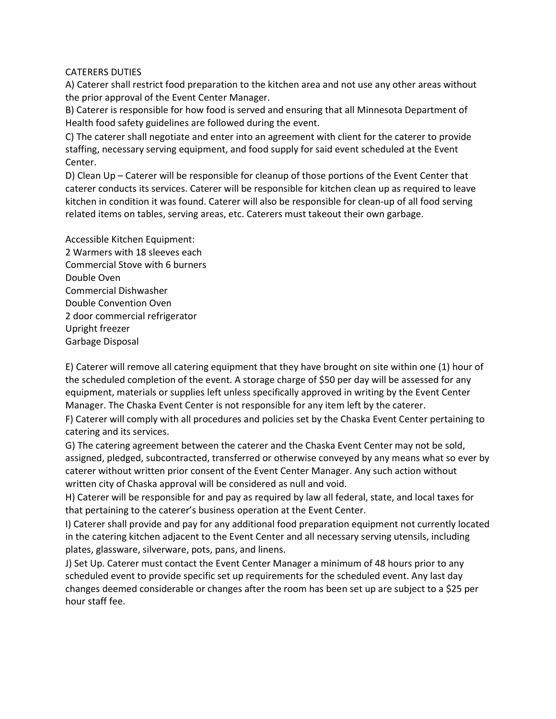### CATERERS DUTIES

A) Caterer shall restrict food preparation to the kitchen area and not use any other areas without the prior approval of the Event Center Manager.

B) Caterer is responsible for how food is served and ensuring that all Minnesota Department of Health food safety guidelines are followed during the event.

C) The caterer shall negotiate and enter into an agreement with client for the caterer to provide staffing, necessary serving equipment, and food supply for said event scheduled at the Event Center.

D) Clean Up – Caterer will be responsible for cleanup of those portions of the Event Center that caterer conducts its services. Caterer will be responsible for kitchen clean up as required to leave kitchen in condition it was found. Caterer will also be responsible for clean-up of all food serving related items on tables, serving areas, etc. Caterers must takeout their own garbage.

Accessible Kitchen Equipment: 2 Warmers with 18 sleeves each Commercial Stove with 6 burners Double Oven Commercial Dishwasher Double Convention Oven 2 door commercial refrigerator Upright freezer Garbage Disposal

E) Caterer will remove all catering equipment that they have brought on site within one (1) hour of the scheduled completion of the event. A storage charge of \$50 per day will be assessed for any equipment, materials or supplies left unless specifically approved in writing by the Event Center Manager. The Chaska Event Center is not responsible for any item left by the caterer.

F) Caterer will comply with all procedures and policies set by the Chaska Event Center pertaining to catering and its services.

G) The catering agreement between the caterer and the Chaska Event Center may not be sold, assigned, pledged, subcontracted, transferred or otherwise conveyed by any means what so ever by caterer without written prior consent of the Event Center Manager. Any such action without written city of Chaska approval will be considered as null and void.

H) Caterer will be responsible for and pay as required by law all federal, state, and local taxes for that pertaining to the caterer's business operation at the Event Center.

I) Caterer shall provide and pay for any additional food preparation equipment not currently located in the catering kitchen adjacent to the Event Center and all necessary serving utensils, including plates, glassware, silverware, pots, pans, and linens.

J) Set Up. Caterer must contact the Event Center Manager a minimum of 48 hours prior to any scheduled event to provide specific set up requirements for the scheduled event. Any last day changes deemed considerable or changes after the room has been set up are subject to a \$25 per hour staff fee.